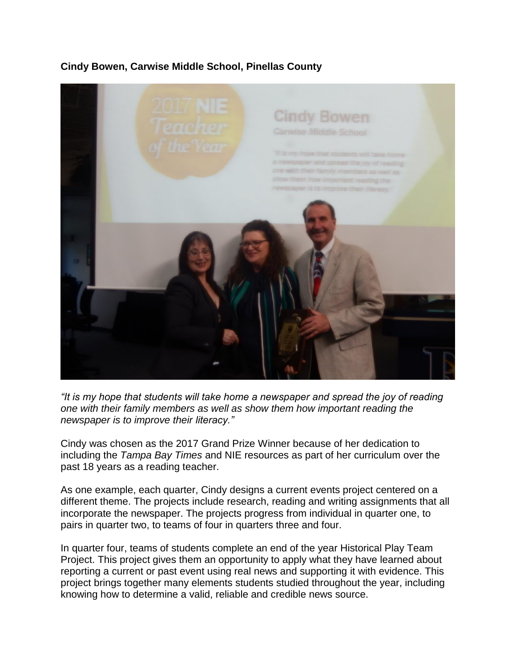# **Cindy Bowen, Carwise Middle School, Pinellas County**



*"It is my hope that students will take home a newspaper and spread the joy of reading one with their family members as well as show them how important reading the newspaper is to improve their literacy."*

Cindy was chosen as the 2017 Grand Prize Winner because of her dedication to including the *Tampa Bay Times* and NIE resources as part of her curriculum over the past 18 years as a reading teacher.

As one example, each quarter, Cindy designs a current events project centered on a different theme. The projects include research, reading and writing assignments that all incorporate the newspaper. The projects progress from individual in quarter one, to pairs in quarter two, to teams of four in quarters three and four.

In quarter four, teams of students complete an end of the year Historical Play Team Project. This project gives them an opportunity to apply what they have learned about reporting a current or past event using real news and supporting it with evidence. This project brings together many elements students studied throughout the year, including knowing how to determine a valid, reliable and credible news source.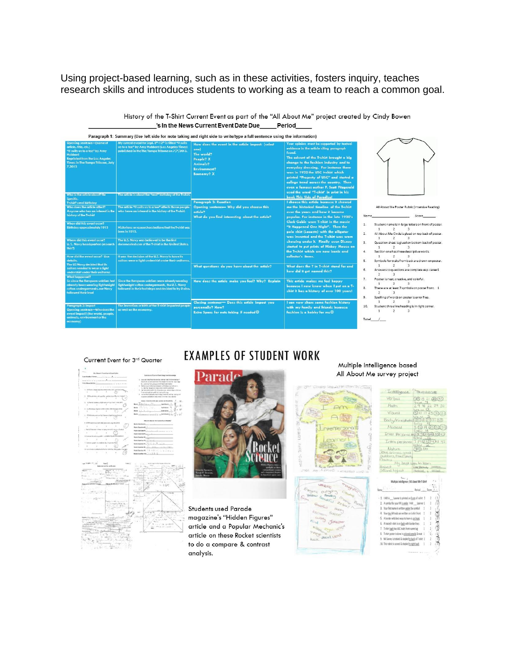Using project-based learning, such as in these activities, fosters inquiry, teaches research skills and introduces students to working as a team to reach a common goal.

> History of the T-Shirt Current Event as part of the "All About Me" project created by Cindy Bowen 's In the News Current Event Date Due\_\_\_\_Period



# Current Event for 3rd Quarter





**EXAMPLES OF STUDENT WORK** 

Students used Parade magazine's "Hidden Figures" article and a Popular Mechanic's article on these Rocket scientists to do a compare & contrast analysis.

# Multiple Intelligence based All About Me survey project



03356